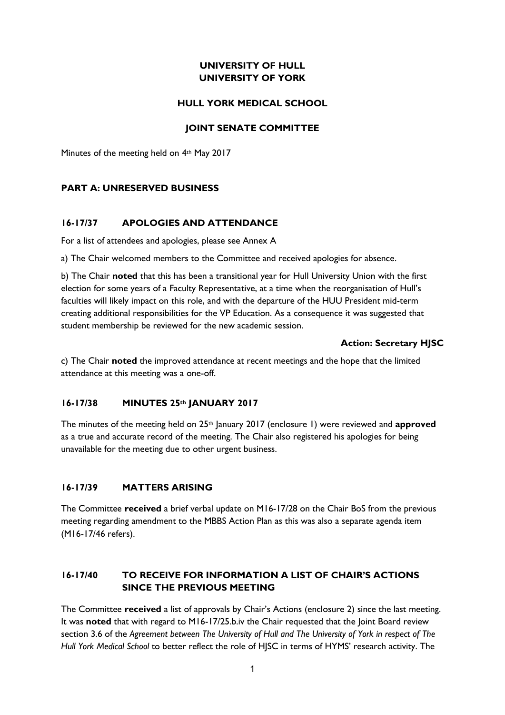# **UNIVERSITY OF HULL UNIVERSITY OF YORK**

### **HULL YORK MEDICAL SCHOOL**

### **JOINT SENATE COMMITTEE**

Minutes of the meeting held on 4th May 2017

### **PART A: UNRESERVED BUSINESS**

### **16-17/37 APOLOGIES AND ATTENDANCE**

For a list of attendees and apologies, please see Annex A

a) The Chair welcomed members to the Committee and received apologies for absence.

b) The Chair **noted** that this has been a transitional year for Hull University Union with the first election for some years of a Faculty Representative, at a time when the reorganisation of Hull's faculties will likely impact on this role, and with the departure of the HUU President mid-term creating additional responsibilities for the VP Education. As a consequence it was suggested that student membership be reviewed for the new academic session.

### **Action: Secretary HJSC**

c) The Chair **noted** the improved attendance at recent meetings and the hope that the limited attendance at this meeting was a one-off.

### **16-17/38 MINUTES 25th JANUARY 2017**

The minutes of the meeting held on 25th January 2017 (enclosure 1) were reviewed and **approved** as a true and accurate record of the meeting. The Chair also registered his apologies for being unavailable for the meeting due to other urgent business.

# **16-17/39 MATTERS ARISING**

The Committee **received** a brief verbal update on M16-17/28 on the Chair BoS from the previous meeting regarding amendment to the MBBS Action Plan as this was also a separate agenda item (M16-17/46 refers).

# **16-17/40 TO RECEIVE FOR INFORMATION A LIST OF CHAIR'S ACTIONS SINCE THE PREVIOUS MEETING**

The Committee **received** a list of approvals by Chair's Actions (enclosure 2) since the last meeting. It was **noted** that with regard to M16-17/25.b.iv the Chair requested that the Joint Board review section 3.6 of the *Agreement between The University of Hull and The University of York in respect of The Hull York Medical School* to better reflect the role of HJSC in terms of HYMS' research activity. The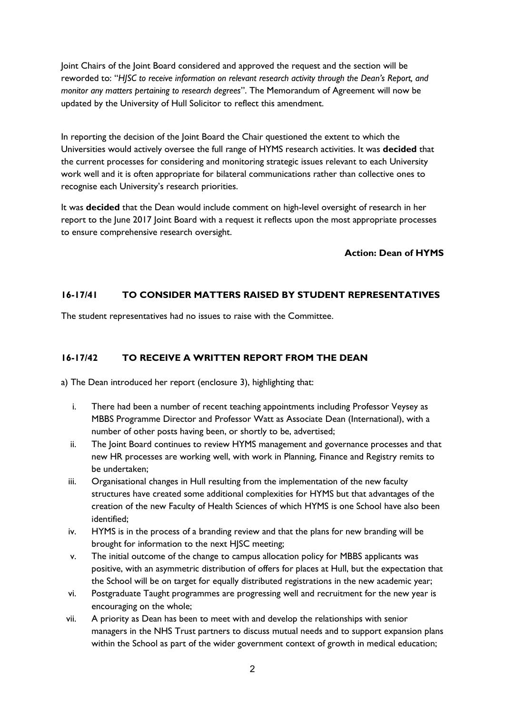Joint Chairs of the Joint Board considered and approved the request and the section will be reworded to: "*HJSC to receive information on relevant research activity through the Dean's Report, and monitor any matters pertaining to research degrees*". The Memorandum of Agreement will now be updated by the University of Hull Solicitor to reflect this amendment.

In reporting the decision of the Joint Board the Chair questioned the extent to which the Universities would actively oversee the full range of HYMS research activities. It was **decided** that the current processes for considering and monitoring strategic issues relevant to each University work well and it is often appropriate for bilateral communications rather than collective ones to recognise each University's research priorities.

It was **decided** that the Dean would include comment on high-level oversight of research in her report to the June 2017 Joint Board with a request it reflects upon the most appropriate processes to ensure comprehensive research oversight.

### **Action: Dean of HYMS**

# **16-17/41 TO CONSIDER MATTERS RAISED BY STUDENT REPRESENTATIVES**

The student representatives had no issues to raise with the Committee.

# **16-17/42 TO RECEIVE A WRITTEN REPORT FROM THE DEAN**

a) The Dean introduced her report (enclosure 3), highlighting that:

- i. There had been a number of recent teaching appointments including Professor Veysey as MBBS Programme Director and Professor Watt as Associate Dean (International), with a number of other posts having been, or shortly to be, advertised;
- ii. The Joint Board continues to review HYMS management and governance processes and that new HR processes are working well, with work in Planning, Finance and Registry remits to be undertaken;
- iii. Organisational changes in Hull resulting from the implementation of the new faculty structures have created some additional complexities for HYMS but that advantages of the creation of the new Faculty of Health Sciences of which HYMS is one School have also been identified;
- iv. HYMS is in the process of a branding review and that the plans for new branding will be brought for information to the next HJSC meeting;
- v. The initial outcome of the change to campus allocation policy for MBBS applicants was positive, with an asymmetric distribution of offers for places at Hull, but the expectation that the School will be on target for equally distributed registrations in the new academic year;
- vi. Postgraduate Taught programmes are progressing well and recruitment for the new year is encouraging on the whole;
- vii. A priority as Dean has been to meet with and develop the relationships with senior managers in the NHS Trust partners to discuss mutual needs and to support expansion plans within the School as part of the wider government context of growth in medical education;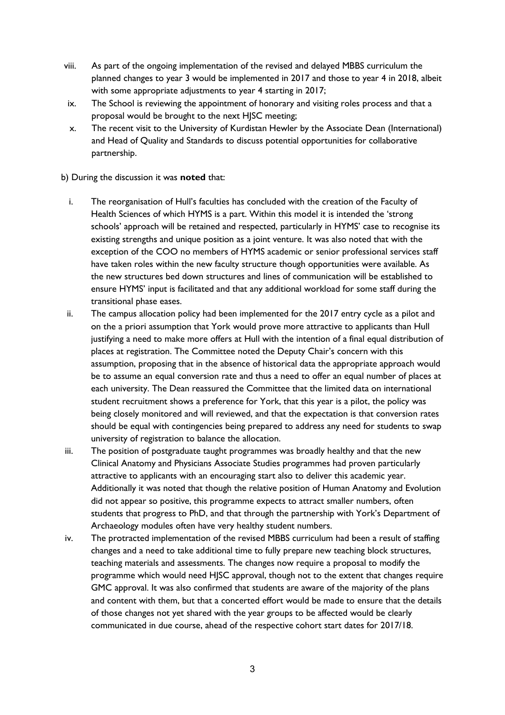- viii. As part of the ongoing implementation of the revised and delayed MBBS curriculum the planned changes to year 3 would be implemented in 2017 and those to year 4 in 2018, albeit with some appropriate adjustments to year 4 starting in 2017;
- ix. The School is reviewing the appointment of honorary and visiting roles process and that a proposal would be brought to the next HJSC meeting;
- x. The recent visit to the University of Kurdistan Hewler by the Associate Dean (International) and Head of Quality and Standards to discuss potential opportunities for collaborative partnership.

b) During the discussion it was **noted** that:

- i. The reorganisation of Hull's faculties has concluded with the creation of the Faculty of Health Sciences of which HYMS is a part. Within this model it is intended the 'strong schools' approach will be retained and respected, particularly in HYMS' case to recognise its existing strengths and unique position as a joint venture. It was also noted that with the exception of the COO no members of HYMS academic or senior professional services staff have taken roles within the new faculty structure though opportunities were available. As the new structures bed down structures and lines of communication will be established to ensure HYMS' input is facilitated and that any additional workload for some staff during the transitional phase eases.
- ii. The campus allocation policy had been implemented for the 2017 entry cycle as a pilot and on the a priori assumption that York would prove more attractive to applicants than Hull justifying a need to make more offers at Hull with the intention of a final equal distribution of places at registration. The Committee noted the Deputy Chair's concern with this assumption, proposing that in the absence of historical data the appropriate approach would be to assume an equal conversion rate and thus a need to offer an equal number of places at each university. The Dean reassured the Committee that the limited data on international student recruitment shows a preference for York, that this year is a pilot, the policy was being closely monitored and will reviewed, and that the expectation is that conversion rates should be equal with contingencies being prepared to address any need for students to swap university of registration to balance the allocation.
- iii. The position of postgraduate taught programmes was broadly healthy and that the new Clinical Anatomy and Physicians Associate Studies programmes had proven particularly attractive to applicants with an encouraging start also to deliver this academic year. Additionally it was noted that though the relative position of Human Anatomy and Evolution did not appear so positive, this programme expects to attract smaller numbers, often students that progress to PhD, and that through the partnership with York's Department of Archaeology modules often have very healthy student numbers.
- iv. The protracted implementation of the revised MBBS curriculum had been a result of staffing changes and a need to take additional time to fully prepare new teaching block structures, teaching materials and assessments. The changes now require a proposal to modify the programme which would need HJSC approval, though not to the extent that changes require GMC approval. It was also confirmed that students are aware of the majority of the plans and content with them, but that a concerted effort would be made to ensure that the details of those changes not yet shared with the year groups to be affected would be clearly communicated in due course, ahead of the respective cohort start dates for 2017/18.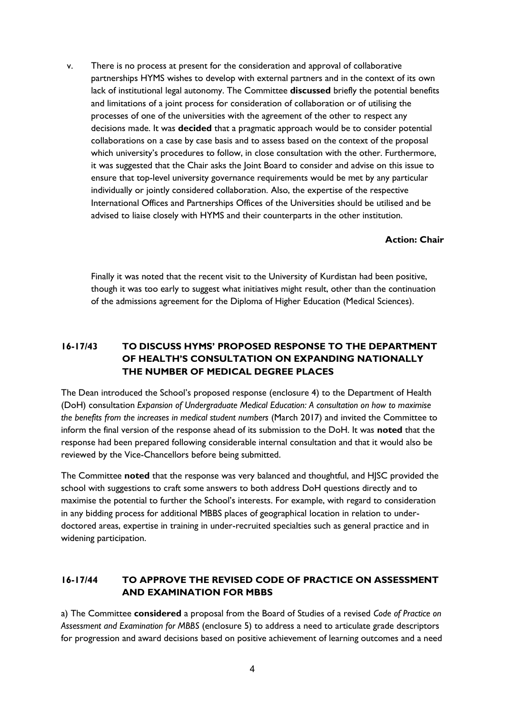v. There is no process at present for the consideration and approval of collaborative partnerships HYMS wishes to develop with external partners and in the context of its own lack of institutional legal autonomy. The Committee **discussed** briefly the potential benefits and limitations of a joint process for consideration of collaboration or of utilising the processes of one of the universities with the agreement of the other to respect any decisions made. It was **decided** that a pragmatic approach would be to consider potential collaborations on a case by case basis and to assess based on the context of the proposal which university's procedures to follow, in close consultation with the other. Furthermore, it was suggested that the Chair asks the Joint Board to consider and advise on this issue to ensure that top-level university governance requirements would be met by any particular individually or jointly considered collaboration. Also, the expertise of the respective International Offices and Partnerships Offices of the Universities should be utilised and be advised to liaise closely with HYMS and their counterparts in the other institution.

#### **Action: Chair**

Finally it was noted that the recent visit to the University of Kurdistan had been positive, though it was too early to suggest what initiatives might result, other than the continuation of the admissions agreement for the Diploma of Higher Education (Medical Sciences).

# **16-17/43 TO DISCUSS HYMS' PROPOSED RESPONSE TO THE DEPARTMENT OF HEALTH'S CONSULTATION ON EXPANDING NATIONALLY THE NUMBER OF MEDICAL DEGREE PLACES**

The Dean introduced the School's proposed response (enclosure 4) to the Department of Health (DoH) consultation *Expansion of Undergraduate Medical Education: A consultation on how to maximise the benefits from the increases in medical student numbers* (March 2017) and invited the Committee to inform the final version of the response ahead of its submission to the DoH. It was **noted** that the response had been prepared following considerable internal consultation and that it would also be reviewed by the Vice-Chancellors before being submitted.

The Committee **noted** that the response was very balanced and thoughtful, and HJSC provided the school with suggestions to craft some answers to both address DoH questions directly and to maximise the potential to further the School's interests. For example, with regard to consideration in any bidding process for additional MBBS places of geographical location in relation to underdoctored areas, expertise in training in under-recruited specialties such as general practice and in widening participation.

# **16-17/44 TO APPROVE THE REVISED CODE OF PRACTICE ON ASSESSMENT AND EXAMINATION FOR MBBS**

a) The Committee **considered** a proposal from the Board of Studies of a revised *Code of Practice on Assessment and Examination for MBBS* (enclosure 5) to address a need to articulate grade descriptors for progression and award decisions based on positive achievement of learning outcomes and a need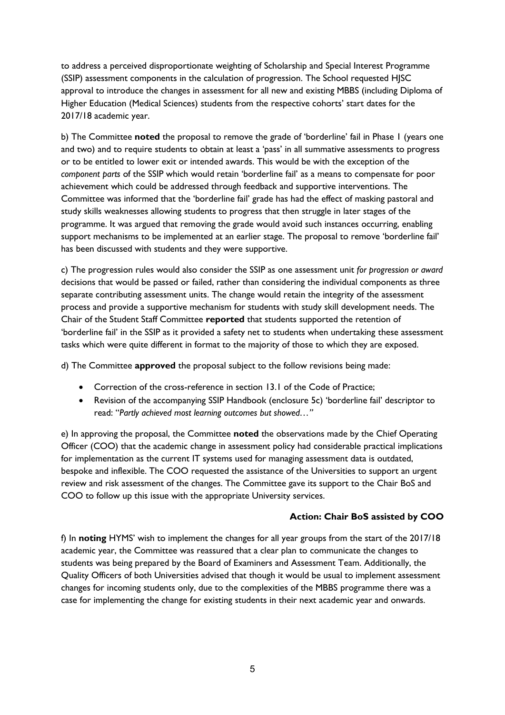to address a perceived disproportionate weighting of Scholarship and Special Interest Programme (SSIP) assessment components in the calculation of progression. The School requested HJSC approval to introduce the changes in assessment for all new and existing MBBS (including Diploma of Higher Education (Medical Sciences) students from the respective cohorts' start dates for the 2017/18 academic year.

b) The Committee **noted** the proposal to remove the grade of 'borderline' fail in Phase 1 (years one and two) and to require students to obtain at least a 'pass' in all summative assessments to progress or to be entitled to lower exit or intended awards. This would be with the exception of the *component parts* of the SSIP which would retain 'borderline fail' as a means to compensate for poor achievement which could be addressed through feedback and supportive interventions. The Committee was informed that the 'borderline fail' grade has had the effect of masking pastoral and study skills weaknesses allowing students to progress that then struggle in later stages of the programme. It was argued that removing the grade would avoid such instances occurring, enabling support mechanisms to be implemented at an earlier stage. The proposal to remove 'borderline fail' has been discussed with students and they were supportive.

c) The progression rules would also consider the SSIP as one assessment unit *for progression or award* decisions that would be passed or failed, rather than considering the individual components as three separate contributing assessment units. The change would retain the integrity of the assessment process and provide a supportive mechanism for students with study skill development needs. The Chair of the Student Staff Committee **reported** that students supported the retention of 'borderline fail' in the SSIP as it provided a safety net to students when undertaking these assessment tasks which were quite different in format to the majority of those to which they are exposed.

d) The Committee **approved** the proposal subject to the follow revisions being made:

- Correction of the cross-reference in section 13.1 of the Code of Practice;
- Revision of the accompanying SSIP Handbook (enclosure 5c) 'borderline fail' descriptor to read: "*Partly achieved most learning outcomes but showed…"*

e) In approving the proposal, the Committee **noted** the observations made by the Chief Operating Officer (COO) that the academic change in assessment policy had considerable practical implications for implementation as the current IT systems used for managing assessment data is outdated, bespoke and inflexible. The COO requested the assistance of the Universities to support an urgent review and risk assessment of the changes. The Committee gave its support to the Chair BoS and COO to follow up this issue with the appropriate University services.

### **Action: Chair BoS assisted by COO**

f) In **noting** HYMS' wish to implement the changes for all year groups from the start of the 2017/18 academic year, the Committee was reassured that a clear plan to communicate the changes to students was being prepared by the Board of Examiners and Assessment Team. Additionally, the Quality Officers of both Universities advised that though it would be usual to implement assessment changes for incoming students only, due to the complexities of the MBBS programme there was a case for implementing the change for existing students in their next academic year and onwards.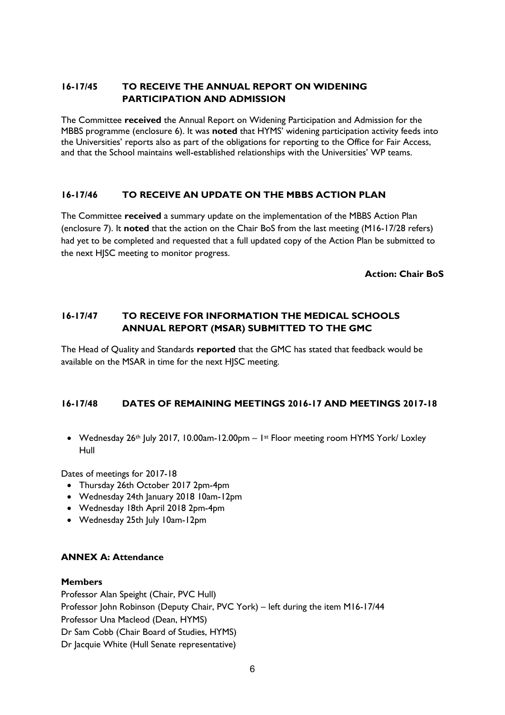# **16-17/45 TO RECEIVE THE ANNUAL REPORT ON WIDENING PARTICIPATION AND ADMISSION**

The Committee **received** the Annual Report on Widening Participation and Admission for the MBBS programme (enclosure 6). It was **noted** that HYMS' widening participation activity feeds into the Universities' reports also as part of the obligations for reporting to the Office for Fair Access, and that the School maintains well-established relationships with the Universities' WP teams.

### **16-17/46 TO RECEIVE AN UPDATE ON THE MBBS ACTION PLAN**

The Committee **received** a summary update on the implementation of the MBBS Action Plan (enclosure 7). It **noted** that the action on the Chair BoS from the last meeting (M16-17/28 refers) had yet to be completed and requested that a full updated copy of the Action Plan be submitted to the next HJSC meeting to monitor progress.

**Action: Chair BoS**

## **16-17/47 TO RECEIVE FOR INFORMATION THE MEDICAL SCHOOLS ANNUAL REPORT (MSAR) SUBMITTED TO THE GMC**

The Head of Quality and Standards **reported** that the GMC has stated that feedback would be available on the MSAR in time for the next HJSC meeting.

### **16-17/48 DATES OF REMAINING MEETINGS 2016-17 AND MEETINGS 2017-18**

• Wednesday 26th July 2017, 10.00am-12.00pm - 1st Floor meeting room HYMS York/ Loxley Hull

Dates of meetings for 2017-18

- Thursday 26th October 2017 2pm-4pm
- Wednesday 24th January 2018 10am-12pm
- Wednesday 18th April 2018 2pm-4pm
- Wednesday 25th July 10am-12pm

### **ANNEX A: Attendance**

#### **Members**

Professor Alan Speight (Chair, PVC Hull) Professor John Robinson (Deputy Chair, PVC York) – left during the item M16-17/44 Professor Una Macleod (Dean, HYMS) Dr Sam Cobb (Chair Board of Studies, HYMS) Dr Jacquie White (Hull Senate representative)